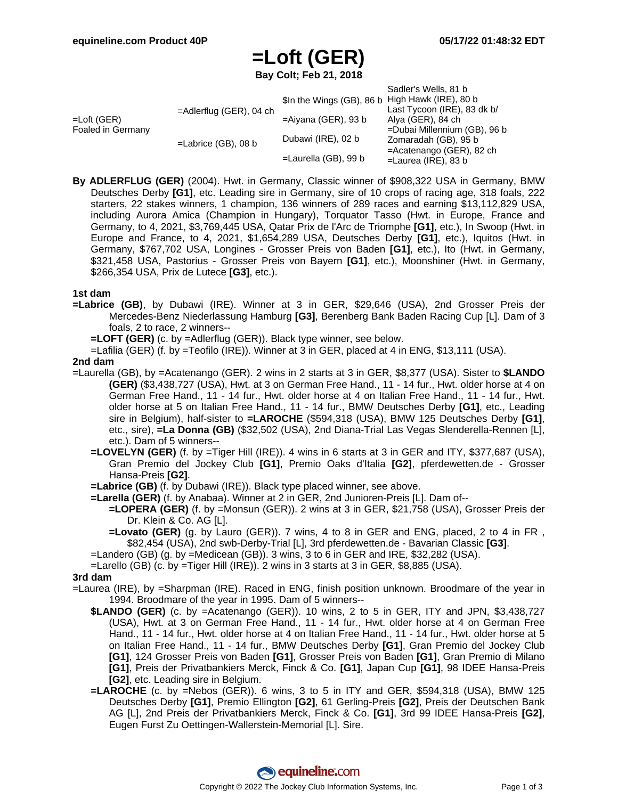# **=Loft (GER)**

**Bay Colt; Feb 21, 2018**

|                                     |                            |                           | Sadler's Wells, 81 b         |
|-------------------------------------|----------------------------|---------------------------|------------------------------|
| $=$ Loft (GER)<br>Foaled in Germany | $=$ Adlerflug (GER), 04 ch | \$In the Wings (GB), 86 b | High Hawk (IRE), 80 b        |
|                                     |                            |                           | Last Tycoon (IRE), 83 dk b/  |
|                                     |                            | $=$ Aiyana (GER), 93 b    | Alya (GER), 84 ch            |
|                                     | $=$ Labrice (GB), 08 b     |                           | =Dubai Millennium (GB), 96 b |
|                                     |                            | Dubawi (IRE), 02 b        | Zomaradah (GB), 95 b         |
|                                     |                            |                           | $=$ Acatenango (GER), 82 ch  |
|                                     |                            | $=$ Laurella (GB), 99 b   | $=$ Laurea (IRE), 83 b       |

**By ADLERFLUG (GER)** (2004). Hwt. in Germany, Classic winner of \$908,322 USA in Germany, BMW Deutsches Derby **[G1]**, etc. Leading sire in Germany, sire of 10 crops of racing age, 318 foals, 222 starters, 22 stakes winners, 1 champion, 136 winners of 289 races and earning \$13,112,829 USA, including Aurora Amica (Champion in Hungary), Torquator Tasso (Hwt. in Europe, France and Germany, to 4, 2021, \$3,769,445 USA, Qatar Prix de l'Arc de Triomphe **[G1]**, etc.), In Swoop (Hwt. in Europe and France, to 4, 2021, \$1,654,289 USA, Deutsches Derby **[G1]**, etc.), Iquitos (Hwt. in Germany, \$767,702 USA, Longines - Grosser Preis von Baden **[G1]**, etc.), Ito (Hwt. in Germany, \$321,458 USA, Pastorius - Grosser Preis von Bayern **[G1]**, etc.), Moonshiner (Hwt. in Germany, \$266,354 USA, Prix de Lutece **[G3]**, etc.).

#### **1st dam**

**=Labrice (GB)**, by Dubawi (IRE). Winner at 3 in GER, \$29,646 (USA), 2nd Grosser Preis der Mercedes-Benz Niederlassung Hamburg **[G3]**, Berenberg Bank Baden Racing Cup [L]. Dam of 3 foals, 2 to race, 2 winners--

**=LOFT (GER)** (c. by =Adlerflug (GER)). Black type winner, see below.

=Lafilia (GER) (f. by =Teofilo (IRE)). Winner at 3 in GER, placed at 4 in ENG, \$13,111 (USA).

#### **2nd dam**

- =Laurella (GB), by =Acatenango (GER). 2 wins in 2 starts at 3 in GER, \$8,377 (USA). Sister to **\$LANDO (GER)** (\$3,438,727 (USA), Hwt. at 3 on German Free Hand., 11 - 14 fur., Hwt. older horse at 4 on German Free Hand., 11 - 14 fur., Hwt. older horse at 4 on Italian Free Hand., 11 - 14 fur., Hwt. older horse at 5 on Italian Free Hand., 11 - 14 fur., BMW Deutsches Derby **[G1]**, etc., Leading sire in Belgium), half-sister to **=LAROCHE** (\$594,318 (USA), BMW 125 Deutsches Derby **[G1]**, etc., sire), **=La Donna (GB)** (\$32,502 (USA), 2nd Diana-Trial Las Vegas Slenderella-Rennen [L], etc.). Dam of 5 winners--
	- **=LOVELYN (GER)** (f. by =Tiger Hill (IRE)). 4 wins in 6 starts at 3 in GER and ITY, \$377,687 (USA), Gran Premio del Jockey Club **[G1]**, Premio Oaks d'Italia **[G2]**, pferdewetten.de - Grosser Hansa-Preis **[G2]**.
	- **=Labrice (GB)** (f. by Dubawi (IRE)). Black type placed winner, see above.
	- **=Larella (GER)** (f. by Anabaa). Winner at 2 in GER, 2nd Junioren-Preis [L]. Dam of--
		- **=LOPERA (GER)** (f. by =Monsun (GER)). 2 wins at 3 in GER, \$21,758 (USA), Grosser Preis der Dr. Klein & Co. AG [L].
		- **=Lovato (GER)** (g. by Lauro (GER)). 7 wins, 4 to 8 in GER and ENG, placed, 2 to 4 in FR , \$82,454 (USA), 2nd swb-Derby-Trial [L], 3rd pferdewetten.de - Bavarian Classic **[G3]**.
	- =Landero (GB) (g. by =Medicean (GB)). 3 wins, 3 to 6 in GER and IRE, \$32,282 (USA).
	- =Larello (GB) (c. by =Tiger Hill (IRE)). 2 wins in 3 starts at 3 in GER, \$8,885 (USA).

#### **3rd dam**

- =Laurea (IRE), by =Sharpman (IRE). Raced in ENG, finish position unknown. Broodmare of the year in 1994. Broodmare of the year in 1995. Dam of 5 winners--
	- **\$LANDO (GER)** (c. by =Acatenango (GER)). 10 wins, 2 to 5 in GER, ITY and JPN, \$3,438,727 (USA), Hwt. at 3 on German Free Hand., 11 - 14 fur., Hwt. older horse at 4 on German Free Hand., 11 - 14 fur., Hwt. older horse at 4 on Italian Free Hand., 11 - 14 fur., Hwt. older horse at 5 on Italian Free Hand., 11 - 14 fur., BMW Deutsches Derby **[G1]**, Gran Premio del Jockey Club **[G1]**, 124 Grosser Preis von Baden **[G1]**, Grosser Preis von Baden **[G1]**, Gran Premio di Milano **[G1]**, Preis der Privatbankiers Merck, Finck & Co. **[G1]**, Japan Cup **[G1]**, 98 IDEE Hansa-Preis **[G2]**, etc. Leading sire in Belgium.
	- **=LAROCHE** (c. by =Nebos (GER)). 6 wins, 3 to 5 in ITY and GER, \$594,318 (USA), BMW 125 Deutsches Derby **[G1]**, Premio Ellington **[G2]**, 61 Gerling-Preis **[G2]**, Preis der Deutschen Bank AG [L], 2nd Preis der Privatbankiers Merck, Finck & Co. **[G1]**, 3rd 99 IDEE Hansa-Preis **[G2]**, Eugen Furst Zu Oettingen-Wallerstein-Memorial [L]. Sire.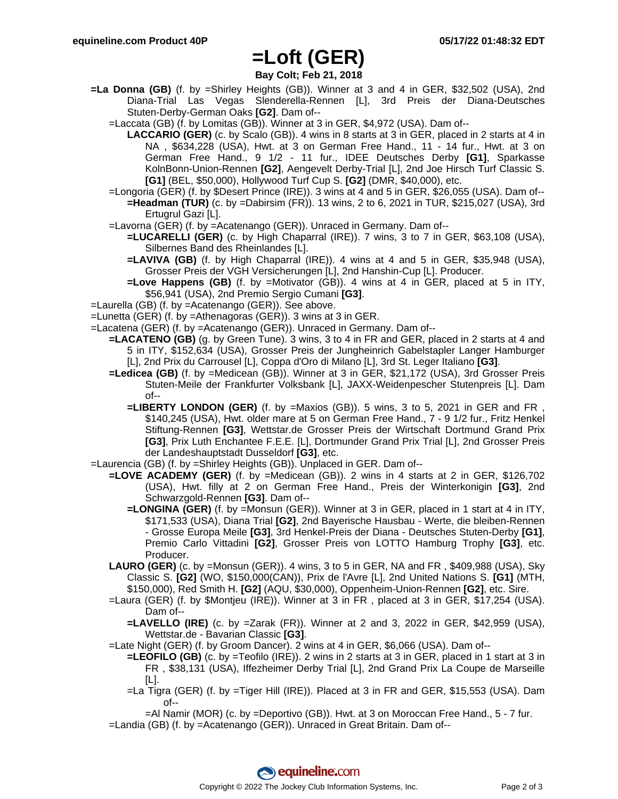### **=Loft (GER)**

### **Bay Colt; Feb 21, 2018**

- **=La Donna (GB)** (f. by =Shirley Heights (GB)). Winner at 3 and 4 in GER, \$32,502 (USA), 2nd Diana-Trial Las Vegas Slenderella-Rennen [L], 3rd Preis der Diana-Deutsches Stuten-Derby-German Oaks **[G2]**. Dam of--
	- =Laccata (GB) (f. by Lomitas (GB)). Winner at 3 in GER, \$4,972 (USA). Dam of--
		- **LACCARIO (GER)** (c. by Scalo (GB)). 4 wins in 8 starts at 3 in GER, placed in 2 starts at 4 in NA , \$634,228 (USA), Hwt. at 3 on German Free Hand., 11 - 14 fur., Hwt. at 3 on German Free Hand., 9 1/2 - 11 fur., IDEE Deutsches Derby **[G1]**, Sparkasse KolnBonn-Union-Rennen **[G2]**, Aengevelt Derby-Trial [L], 2nd Joe Hirsch Turf Classic S. **[G1]** (BEL, \$50,000), Hollywood Turf Cup S. **[G2]** (DMR, \$40,000), etc.
	- =Longoria (GER) (f. by \$Desert Prince (IRE)). 3 wins at 4 and 5 in GER, \$26,055 (USA). Dam of-- **=Headman (TUR)** (c. by =Dabirsim (FR)). 13 wins, 2 to 6, 2021 in TUR, \$215,027 (USA), 3rd Ertugrul Gazi [L].
	- =Lavorna (GER) (f. by =Acatenango (GER)). Unraced in Germany. Dam of--
		- **=LUCARELLI (GER)** (c. by High Chaparral (IRE)). 7 wins, 3 to 7 in GER, \$63,108 (USA), Silbernes Band des Rheinlandes [L].
		- **=LAVIVA (GB)** (f. by High Chaparral (IRE)). 4 wins at 4 and 5 in GER, \$35,948 (USA), Grosser Preis der VGH Versicherungen [L], 2nd Hanshin-Cup [L]. Producer.
		- **=Love Happens (GB)** (f. by =Motivator (GB)). 4 wins at 4 in GER, placed at 5 in ITY, \$56,941 (USA), 2nd Premio Sergio Cumani **[G3]**.
- =Laurella (GB) (f. by =Acatenango (GER)). See above.
- =Lunetta (GER) (f. by =Athenagoras (GER)). 3 wins at 3 in GER.
- =Lacatena (GER) (f. by =Acatenango (GER)). Unraced in Germany. Dam of--
	- **=LACATENO (GB)** (g. by Green Tune). 3 wins, 3 to 4 in FR and GER, placed in 2 starts at 4 and 5 in ITY, \$152,634 (USA), Grosser Preis der Jungheinrich Gabelstapler Langer Hamburger [L], 2nd Prix du Carrousel [L], Coppa d'Oro di Milano [L], 3rd St. Leger Italiano **[G3]**.
		- **=Ledicea (GB)** (f. by =Medicean (GB)). Winner at 3 in GER, \$21,172 (USA), 3rd Grosser Preis Stuten-Meile der Frankfurter Volksbank [L], JAXX-Weidenpescher Stutenpreis [L]. Dam of--
			- **=LIBERTY LONDON (GER)** (f. by =Maxios (GB)). 5 wins, 3 to 5, 2021 in GER and FR , \$140,245 (USA), Hwt. older mare at 5 on German Free Hand., 7 - 9 1/2 fur., Fritz Henkel Stiftung-Rennen **[G3]**, Wettstar.de Grosser Preis der Wirtschaft Dortmund Grand Prix **[G3]**, Prix Luth Enchantee F.E.E. [L], Dortmunder Grand Prix Trial [L], 2nd Grosser Preis der Landeshauptstadt Dusseldorf **[G3]**, etc.

=Laurencia (GB) (f. by =Shirley Heights (GB)). Unplaced in GER. Dam of--

- **=LOVE ACADEMY (GER)** (f. by =Medicean (GB)). 2 wins in 4 starts at 2 in GER, \$126,702 (USA), Hwt. filly at 2 on German Free Hand., Preis der Winterkonigin **[G3]**, 2nd Schwarzgold-Rennen **[G3]**. Dam of--
	- **=LONGINA (GER)** (f. by =Monsun (GER)). Winner at 3 in GER, placed in 1 start at 4 in ITY, \$171,533 (USA), Diana Trial **[G2]**, 2nd Bayerische Hausbau - Werte, die bleiben-Rennen - Grosse Europa Meile **[G3]**, 3rd Henkel-Preis der Diana - Deutsches Stuten-Derby **[G1]**, Premio Carlo Vittadini **[G2]**, Grosser Preis von LOTTO Hamburg Trophy **[G3]**, etc. Producer.
- **LAURO (GER)** (c. by =Monsun (GER)). 4 wins, 3 to 5 in GER, NA and FR , \$409,988 (USA), Sky Classic S. **[G2]** (WO, \$150,000(CAN)), Prix de l'Avre [L], 2nd United Nations S. **[G1]** (MTH, \$150,000), Red Smith H. **[G2]** (AQU, \$30,000), Oppenheim-Union-Rennen **[G2]**, etc. Sire.
- =Laura (GER) (f. by \$Montjeu (IRE)). Winner at 3 in FR , placed at 3 in GER, \$17,254 (USA). Dam of--
	- **=LAVELLO (IRE)** (c. by =Zarak (FR)). Winner at 2 and 3, 2022 in GER, \$42,959 (USA), Wettstar.de - Bavarian Classic **[G3]**.
- =Late Night (GER) (f. by Groom Dancer). 2 wins at 4 in GER, \$6,066 (USA). Dam of--
	- **=LEOFILO (GB)** (c. by =Teofilo (IRE)). 2 wins in 2 starts at 3 in GER, placed in 1 start at 3 in FR , \$38,131 (USA), Iffezheimer Derby Trial [L], 2nd Grand Prix La Coupe de Marseille [L].
	- =La Tigra (GER) (f. by =Tiger Hill (IRE)). Placed at 3 in FR and GER, \$15,553 (USA). Dam of--

=Al Namir (MOR) (c. by =Deportivo (GB)). Hwt. at 3 on Moroccan Free Hand., 5 - 7 fur. =Landia (GB) (f. by =Acatenango (GER)). Unraced in Great Britain. Dam of--